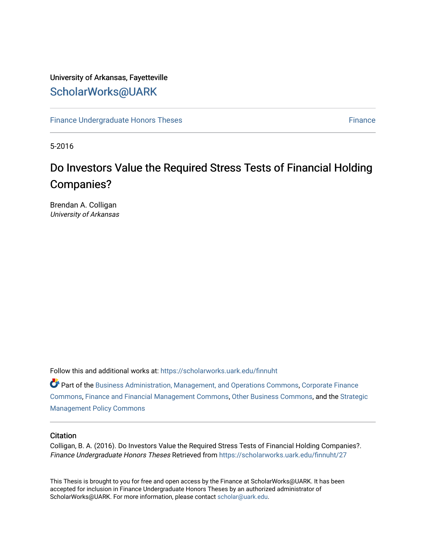## University of Arkansas, Fayetteville [ScholarWorks@UARK](https://scholarworks.uark.edu/)

[Finance Undergraduate Honors Theses](https://scholarworks.uark.edu/finnuht) [Finance](https://scholarworks.uark.edu/finn) **Finance Finance** 

5-2016

# Do Investors Value the Required Stress Tests of Financial Holding Companies?

Brendan A. Colligan University of Arkansas

Follow this and additional works at: [https://scholarworks.uark.edu/finnuht](https://scholarworks.uark.edu/finnuht?utm_source=scholarworks.uark.edu%2Ffinnuht%2F27&utm_medium=PDF&utm_campaign=PDFCoverPages)

Part of the [Business Administration, Management, and Operations Commons](http://network.bepress.com/hgg/discipline/623?utm_source=scholarworks.uark.edu%2Ffinnuht%2F27&utm_medium=PDF&utm_campaign=PDFCoverPages), [Corporate Finance](http://network.bepress.com/hgg/discipline/629?utm_source=scholarworks.uark.edu%2Ffinnuht%2F27&utm_medium=PDF&utm_campaign=PDFCoverPages) [Commons](http://network.bepress.com/hgg/discipline/629?utm_source=scholarworks.uark.edu%2Ffinnuht%2F27&utm_medium=PDF&utm_campaign=PDFCoverPages), [Finance and Financial Management Commons,](http://network.bepress.com/hgg/discipline/631?utm_source=scholarworks.uark.edu%2Ffinnuht%2F27&utm_medium=PDF&utm_campaign=PDFCoverPages) [Other Business Commons](http://network.bepress.com/hgg/discipline/647?utm_source=scholarworks.uark.edu%2Ffinnuht%2F27&utm_medium=PDF&utm_campaign=PDFCoverPages), and the [Strategic](http://network.bepress.com/hgg/discipline/642?utm_source=scholarworks.uark.edu%2Ffinnuht%2F27&utm_medium=PDF&utm_campaign=PDFCoverPages)  [Management Policy Commons](http://network.bepress.com/hgg/discipline/642?utm_source=scholarworks.uark.edu%2Ffinnuht%2F27&utm_medium=PDF&utm_campaign=PDFCoverPages) 

#### **Citation**

Colligan, B. A. (2016). Do Investors Value the Required Stress Tests of Financial Holding Companies?. Finance Undergraduate Honors Theses Retrieved from [https://scholarworks.uark.edu/finnuht/27](https://scholarworks.uark.edu/finnuht/27?utm_source=scholarworks.uark.edu%2Ffinnuht%2F27&utm_medium=PDF&utm_campaign=PDFCoverPages) 

This Thesis is brought to you for free and open access by the Finance at ScholarWorks@UARK. It has been accepted for inclusion in Finance Undergraduate Honors Theses by an authorized administrator of ScholarWorks@UARK. For more information, please contact [scholar@uark.edu](mailto:scholar@uark.edu).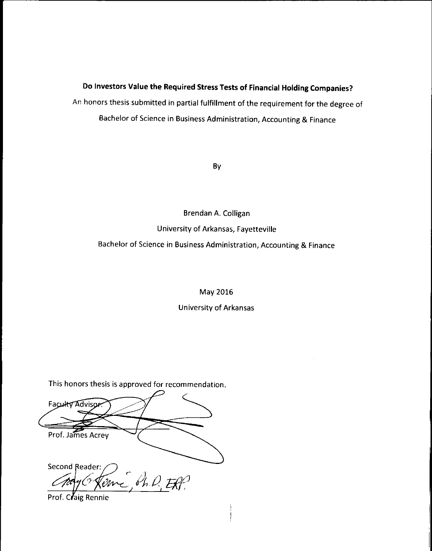## Do Investors Value the Required Stress Tests of Financial Holding Companies?

An honors thesis submitted in partial fulfillment of the requirement for the degree of Bachelor of Science in Business Administration, Accounting & Finance

By

# Brendan A. Colligan University of Arkansas, Fayetteville Bachelor of Science in Business Administration, Accounting & Finance

May 2016

**University of Arkansas** 

This honors thesis is approved for recommendation.

Faculty Advisor Prof. James Acrey **Second Reader:** Teme Sh.D. Eff.

Prof. Claig Rennie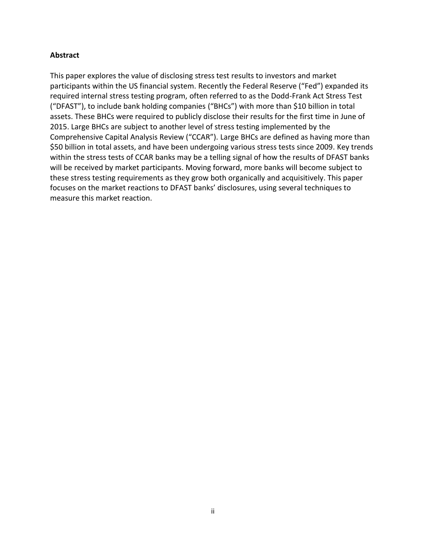## **Abstract**

This paper explores the value of disclosing stress test results to investors and market participants within the US financial system. Recently the Federal Reserve ("Fed") expanded its required internal stress testing program, often referred to as the Dodd-Frank Act Stress Test ("DFAST"), to include bank holding companies ("BHCs") with more than \$10 billion in total assets. These BHCs were required to publicly disclose their results for the first time in June of 2015. Large BHCs are subject to another level of stress testing implemented by the Comprehensive Capital Analysis Review ("CCAR"). Large BHCs are defined as having more than \$50 billion in total assets, and have been undergoing various stress tests since 2009. Key trends within the stress tests of CCAR banks may be a telling signal of how the results of DFAST banks will be received by market participants. Moving forward, more banks will become subject to these stress testing requirements as they grow both organically and acquisitively. This paper focuses on the market reactions to DFAST banks' disclosures, using several techniques to measure this market reaction.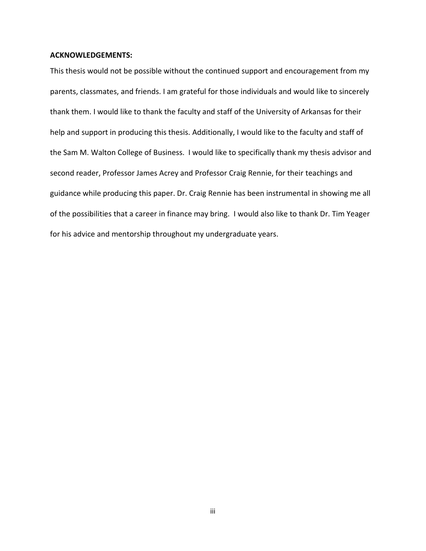#### **ACKNOWLEDGEMENTS:**

This thesis would not be possible without the continued support and encouragement from my parents, classmates, and friends. I am grateful for those individuals and would like to sincerely thank them. I would like to thank the faculty and staff of the University of Arkansas for their help and support in producing this thesis. Additionally, I would like to the faculty and staff of the Sam M. Walton College of Business. I would like to specifically thank my thesis advisor and second reader, Professor James Acrey and Professor Craig Rennie, for their teachings and guidance while producing this paper. Dr. Craig Rennie has been instrumental in showing me all of the possibilities that a career in finance may bring. I would also like to thank Dr. Tim Yeager for his advice and mentorship throughout my undergraduate years.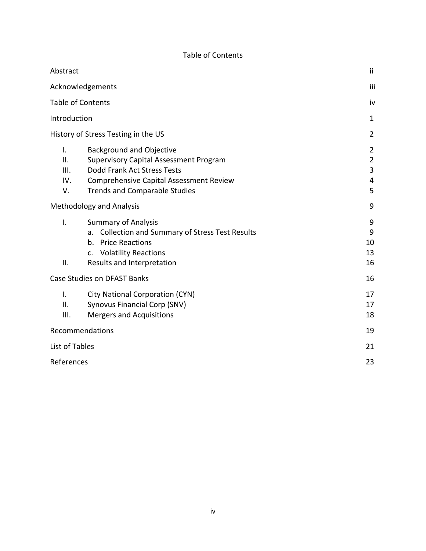| <b>Table of Contents</b> |  |  |
|--------------------------|--|--|
|--------------------------|--|--|

| Abstract                       |                                                                                                                                                                                                    | ii                                              |
|--------------------------------|----------------------------------------------------------------------------------------------------------------------------------------------------------------------------------------------------|-------------------------------------------------|
|                                | Acknowledgements                                                                                                                                                                                   | iii                                             |
|                                | <b>Table of Contents</b>                                                                                                                                                                           | iv                                              |
| Introduction                   |                                                                                                                                                                                                    | $\mathbf{1}$                                    |
|                                | History of Stress Testing in the US                                                                                                                                                                | $\overline{2}$                                  |
| I.<br>ΙΙ.<br>III.<br>IV.<br>V. | <b>Background and Objective</b><br><b>Supervisory Capital Assessment Program</b><br>Dodd Frank Act Stress Tests<br>Comprehensive Capital Assessment Review<br><b>Trends and Comparable Studies</b> | $\overline{2}$<br>$\overline{2}$<br>3<br>4<br>5 |
|                                | <b>Methodology and Analysis</b>                                                                                                                                                                    | 9                                               |
| I.<br>ΙΙ.                      | <b>Summary of Analysis</b><br><b>Collection and Summary of Stress Test Results</b><br>a.<br>b. Price Reactions<br><b>Volatility Reactions</b><br>$C_{\bullet}$<br>Results and Interpretation       | 9<br>9<br>10<br>13<br>16                        |
|                                | <b>Case Studies on DFAST Banks</b>                                                                                                                                                                 | 16                                              |
| I.<br>ΙΙ.<br>Ш.                | <b>City National Corporation (CYN)</b><br>Synovus Financial Corp (SNV)<br><b>Mergers and Acquisitions</b>                                                                                          | 17<br>17<br>18                                  |
|                                | Recommendations                                                                                                                                                                                    | 19                                              |
| List of Tables                 |                                                                                                                                                                                                    | 21                                              |
| References                     |                                                                                                                                                                                                    | 23                                              |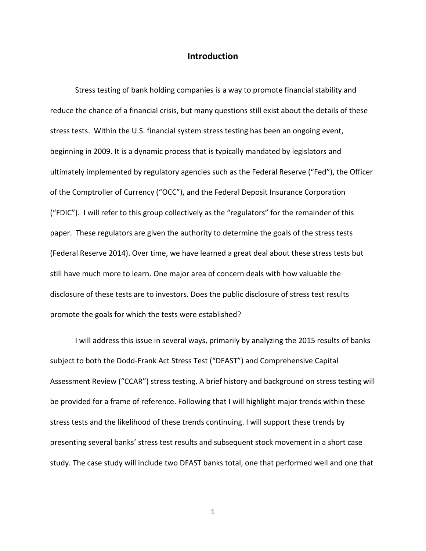## **Introduction**

Stress testing of bank holding companies is a way to promote financial stability and reduce the chance of a financial crisis, but many questions still exist about the details of these stress tests. Within the U.S. financial system stress testing has been an ongoing event, beginning in 2009. It is a dynamic process that is typically mandated by legislators and ultimately implemented by regulatory agencies such as the Federal Reserve ("Fed"), the Officer of the Comptroller of Currency ("OCC"), and the Federal Deposit Insurance Corporation ("FDIC"). I will refer to this group collectively as the "regulators" for the remainder of this paper. These regulators are given the authority to determine the goals of the stress tests (Federal Reserve 2014). Over time, we have learned a great deal about these stress tests but still have much more to learn. One major area of concern deals with how valuable the disclosure of these tests are to investors. Does the public disclosure of stress test results promote the goals for which the tests were established?

I will address this issue in several ways, primarily by analyzing the 2015 results of banks subject to both the Dodd-Frank Act Stress Test ("DFAST") and Comprehensive Capital Assessment Review ("CCAR") stress testing. A brief history and background on stress testing will be provided for a frame of reference. Following that I will highlight major trends within these stress tests and the likelihood of these trends continuing. I will support these trends by presenting several banks' stress test results and subsequent stock movement in a short case study. The case study will include two DFAST banks total, one that performed well and one that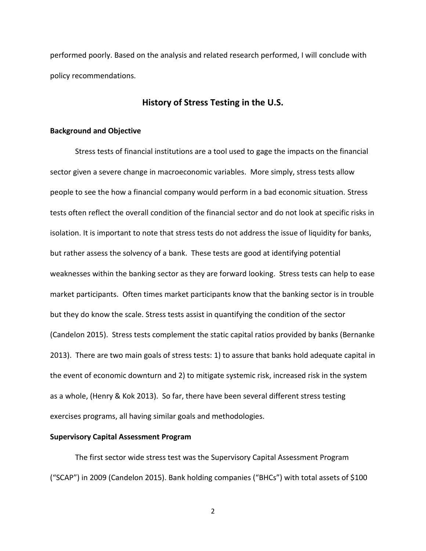performed poorly. Based on the analysis and related research performed, I will conclude with policy recommendations.

## **History of Stress Testing in the U.S.**

#### **Background and Objective**

Stress tests of financial institutions are a tool used to gage the impacts on the financial sector given a severe change in macroeconomic variables. More simply, stress tests allow people to see the how a financial company would perform in a bad economic situation. Stress tests often reflect the overall condition of the financial sector and do not look at specific risks in isolation. It is important to note that stress tests do not address the issue of liquidity for banks, but rather assess the solvency of a bank. These tests are good at identifying potential weaknesses within the banking sector as they are forward looking. Stress tests can help to ease market participants. Often times market participants know that the banking sector is in trouble but they do know the scale. Stress tests assist in quantifying the condition of the sector (Candelon 2015). Stress tests complement the static capital ratios provided by banks (Bernanke 2013). There are two main goals of stress tests: 1) to assure that banks hold adequate capital in the event of economic downturn and 2) to mitigate systemic risk, increased risk in the system as a whole, (Henry & Kok 2013). So far, there have been several different stress testing exercises programs, all having similar goals and methodologies.

#### **Supervisory Capital Assessment Program**

The first sector wide stress test was the Supervisory Capital Assessment Program ("SCAP") in 2009 (Candelon 2015). Bank holding companies ("BHCs") with total assets of \$100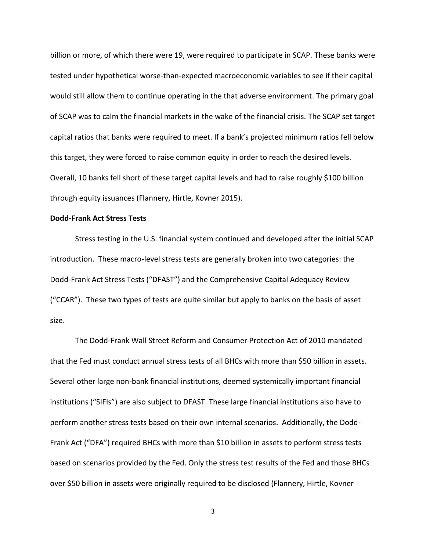billion or more, of which there were 19, were required to participate in SCAP. These banks were tested under hypothetical worse-than-expected macroeconomic variables to see if their capital would still allow them to continue operating in the that adverse environment. The primary goal of SCAP was to calm the financial markets in the wake of the financial crisis. The SCAP set target capital ratios that banks were required to meet. If a bank's projected minimum ratios fell below this target, they were forced to raise common equity in order to reach the desired levels. Overall, 10 banks fell short of these target capital levels and had to raise roughly \$100 billion through equity issuances (Flannery, Hirtle, Kovner 2015).

#### **Dodd-Frank Act Stress Tests**

Stress testing in the U.S. financial system continued and developed after the initial SCAP introduction. These macro-level stress tests are generally broken into two categories: the Dodd-Frank Act Stress Tests ("DFAST") and the Comprehensive Capital Adequacy Review ("CCAR"). These two types of tests are quite similar but apply to banks on the basis of asset size.

The Dodd-Frank Wall Street Reform and Consumer Protection Act of 2010 mandated that the Fed must conduct annual stress tests of all BHCs with more than \$50 billion in assets. Several other large non-bank financial institutions, deemed systemically important financial institutions ("SIFIs") are also subject to DFAST. These large financial institutions also have to perform another stress tests based on their own internal scenarios. Additionally, the Dodd-Frank Act ("DFA") required BHCs with more than \$10 billion in assets to perform stress tests based on scenarios provided by the Fed. Only the stress test results of the Fed and those BHCs over \$50 billion in assets were originally required to be disclosed (Flannery, Hirtle, Kovner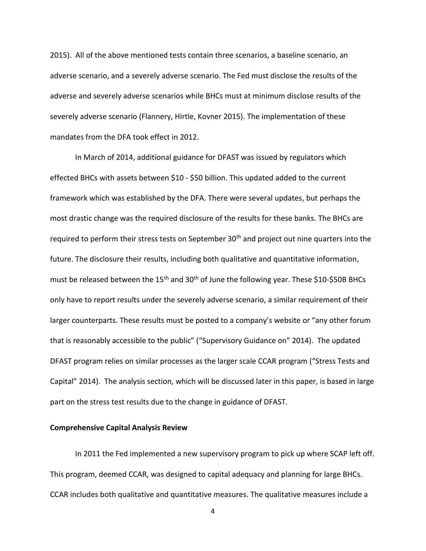2015). All of the above mentioned tests contain three scenarios, a baseline scenario, an adverse scenario, and a severely adverse scenario. The Fed must disclose the results of the adverse and severely adverse scenarios while BHCs must at minimum disclose results of the severely adverse scenario (Flannery, Hirtle, Kovner 2015). The implementation of these mandates from the DFA took effect in 2012.

In March of 2014, additional guidance for DFAST was issued by regulators which effected BHCs with assets between \$10 - \$50 billion. This updated added to the current framework which was established by the DFA. There were several updates, but perhaps the most drastic change was the required disclosure of the results for these banks. The BHCs are required to perform their stress tests on September 30<sup>th</sup> and project out nine quarters into the future. The disclosure their results, including both qualitative and quantitative information, must be released between the 15<sup>th</sup> and 30<sup>th</sup> of June the following year. These \$10-\$50B BHCs only have to report results under the severely adverse scenario, a similar requirement of their larger counterparts. These results must be posted to a company's website or "any other forum that is reasonably accessible to the public" ("Supervisory Guidance on" 2014). The updated DFAST program relies on similar processes as the larger scale CCAR program ("Stress Tests and Capital" 2014). The analysis section, which will be discussed later in this paper, is based in large part on the stress test results due to the change in guidance of DFAST.

#### **Comprehensive Capital Analysis Review**

In 2011 the Fed implemented a new supervisory program to pick up where SCAP left off. This program, deemed CCAR, was designed to capital adequacy and planning for large BHCs. CCAR includes both qualitative and quantitative measures. The qualitative measures include a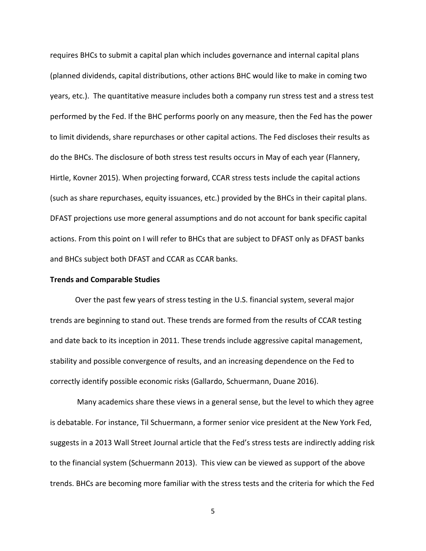requires BHCs to submit a capital plan which includes governance and internal capital plans (planned dividends, capital distributions, other actions BHC would like to make in coming two years, etc.). The quantitative measure includes both a company run stress test and a stress test performed by the Fed. If the BHC performs poorly on any measure, then the Fed has the power to limit dividends, share repurchases or other capital actions. The Fed discloses their results as do the BHCs. The disclosure of both stress test results occurs in May of each year (Flannery, Hirtle, Kovner 2015). When projecting forward, CCAR stress tests include the capital actions (such as share repurchases, equity issuances, etc.) provided by the BHCs in their capital plans. DFAST projections use more general assumptions and do not account for bank specific capital actions. From this point on I will refer to BHCs that are subject to DFAST only as DFAST banks and BHCs subject both DFAST and CCAR as CCAR banks.

#### **Trends and Comparable Studies**

Over the past few years of stress testing in the U.S. financial system, several major trends are beginning to stand out. These trends are formed from the results of CCAR testing and date back to its inception in 2011. These trends include aggressive capital management, stability and possible convergence of results, and an increasing dependence on the Fed to correctly identify possible economic risks (Gallardo, Schuermann, Duane 2016).

Many academics share these views in a general sense, but the level to which they agree is debatable. For instance, Til Schuermann, a former senior vice president at the New York Fed, suggests in a 2013 Wall Street Journal article that the Fed's stress tests are indirectly adding risk to the financial system (Schuermann 2013). This view can be viewed as support of the above trends. BHCs are becoming more familiar with the stress tests and the criteria for which the Fed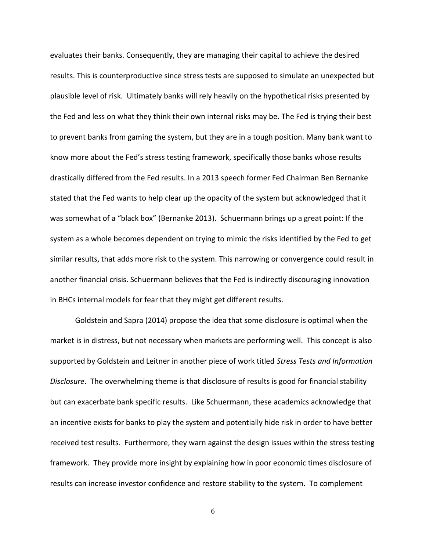evaluates their banks. Consequently, they are managing their capital to achieve the desired results. This is counterproductive since stress tests are supposed to simulate an unexpected but plausible level of risk. Ultimately banks will rely heavily on the hypothetical risks presented by the Fed and less on what they think their own internal risks may be. The Fed is trying their best to prevent banks from gaming the system, but they are in a tough position. Many bank want to know more about the Fed's stress testing framework, specifically those banks whose results drastically differed from the Fed results. In a 2013 speech former Fed Chairman Ben Bernanke stated that the Fed wants to help clear up the opacity of the system but acknowledged that it was somewhat of a "black box" (Bernanke 2013). Schuermann brings up a great point: If the system as a whole becomes dependent on trying to mimic the risks identified by the Fed to get similar results, that adds more risk to the system. This narrowing or convergence could result in another financial crisis. Schuermann believes that the Fed is indirectly discouraging innovation in BHCs internal models for fear that they might get different results.

Goldstein and Sapra (2014) propose the idea that some disclosure is optimal when the market is in distress, but not necessary when markets are performing well. This concept is also supported by Goldstein and Leitner in another piece of work titled *Stress Tests and Information Disclosure*. The overwhelming theme is that disclosure of results is good for financial stability but can exacerbate bank specific results. Like Schuermann, these academics acknowledge that an incentive exists for banks to play the system and potentially hide risk in order to have better received test results. Furthermore, they warn against the design issues within the stress testing framework. They provide more insight by explaining how in poor economic times disclosure of results can increase investor confidence and restore stability to the system. To complement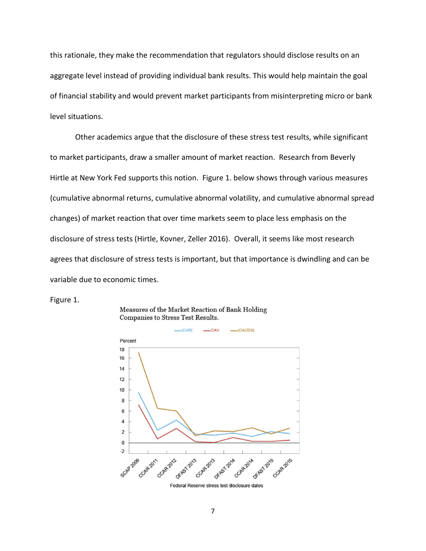this rationale, they make the recommendation that regulators should disclose results on an aggregate level instead of providing individual bank results. This would help maintain the goal of financial stability and would prevent market participants from misinterpreting micro or bank level situations.

Other academics argue that the disclosure of these stress test results, while significant to market participants, draw a smaller amount of market reaction. Research from Beverly Hirtle at New York Fed supports this notion. Figure 1. below shows through various measures (cumulative abnormal returns, cumulative abnormal volatility, and cumulative abnormal spread changes) of market reaction that over time markets seem to place less emphasis on the disclosure of stress tests (Hirtle, Kovner, Zeller 2016). Overall, it seems like most research agrees that disclosure of stress tests is important, but that importance is dwindling and can be variable due to economic times.

Figure 1.





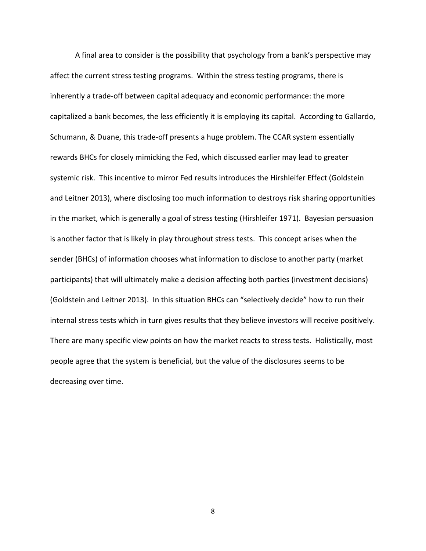A final area to consider is the possibility that psychology from a bank's perspective may affect the current stress testing programs. Within the stress testing programs, there is inherently a trade-off between capital adequacy and economic performance: the more capitalized a bank becomes, the less efficiently it is employing its capital. According to Gallardo, Schumann, & Duane, this trade-off presents a huge problem. The CCAR system essentially rewards BHCs for closely mimicking the Fed, which discussed earlier may lead to greater systemic risk. This incentive to mirror Fed results introduces the Hirshleifer Effect (Goldstein and Leitner 2013), where disclosing too much information to destroys risk sharing opportunities in the market, which is generally a goal of stress testing (Hirshleifer 1971). Bayesian persuasion is another factor that is likely in play throughout stress tests. This concept arises when the sender (BHCs) of information chooses what information to disclose to another party (market participants) that will ultimately make a decision affecting both parties (investment decisions) (Goldstein and Leitner 2013). In this situation BHCs can "selectively decide" how to run their internal stress tests which in turn gives results that they believe investors will receive positively. There are many specific view points on how the market reacts to stress tests. Holistically, most people agree that the system is beneficial, but the value of the disclosures seems to be decreasing over time.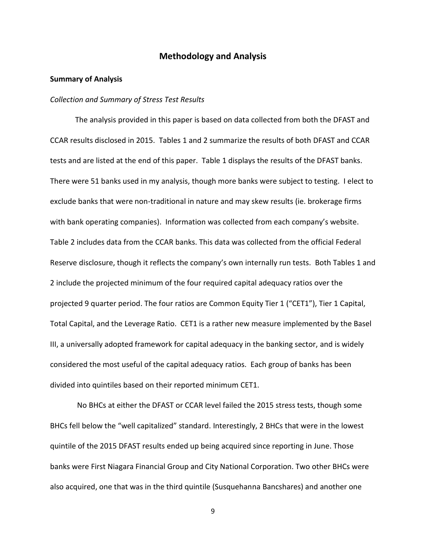## **Methodology and Analysis**

#### **Summary of Analysis**

#### *Collection and Summary of Stress Test Results*

The analysis provided in this paper is based on data collected from both the DFAST and CCAR results disclosed in 2015. Tables 1 and 2 summarize the results of both DFAST and CCAR tests and are listed at the end of this paper. Table 1 displays the results of the DFAST banks. There were 51 banks used in my analysis, though more banks were subject to testing. I elect to exclude banks that were non-traditional in nature and may skew results (ie. brokerage firms with bank operating companies). Information was collected from each company's website. Table 2 includes data from the CCAR banks. This data was collected from the official Federal Reserve disclosure, though it reflects the company's own internally run tests. Both Tables 1 and 2 include the projected minimum of the four required capital adequacy ratios over the projected 9 quarter period. The four ratios are Common Equity Tier 1 ("CET1"), Tier 1 Capital, Total Capital, and the Leverage Ratio. CET1 is a rather new measure implemented by the Basel III, a universally adopted framework for capital adequacy in the banking sector, and is widely considered the most useful of the capital adequacy ratios. Each group of banks has been divided into quintiles based on their reported minimum CET1.

No BHCs at either the DFAST or CCAR level failed the 2015 stress tests, though some BHCs fell below the "well capitalized" standard. Interestingly, 2 BHCs that were in the lowest quintile of the 2015 DFAST results ended up being acquired since reporting in June. Those banks were First Niagara Financial Group and City National Corporation. Two other BHCs were also acquired, one that was in the third quintile (Susquehanna Bancshares) and another one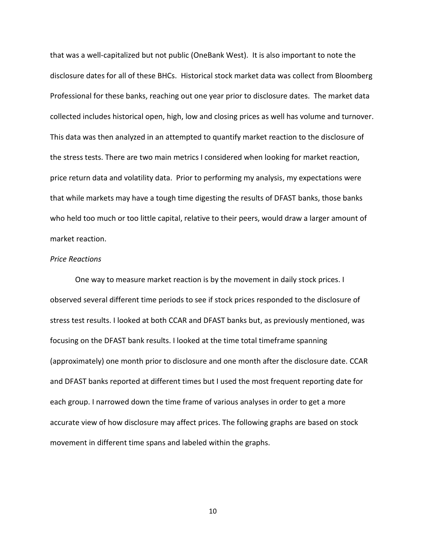that was a well-capitalized but not public (OneBank West). It is also important to note the disclosure dates for all of these BHCs. Historical stock market data was collect from Bloomberg Professional for these banks, reaching out one year prior to disclosure dates. The market data collected includes historical open, high, low and closing prices as well has volume and turnover. This data was then analyzed in an attempted to quantify market reaction to the disclosure of the stress tests. There are two main metrics I considered when looking for market reaction, price return data and volatility data. Prior to performing my analysis, my expectations were that while markets may have a tough time digesting the results of DFAST banks, those banks who held too much or too little capital, relative to their peers, would draw a larger amount of market reaction.

#### *Price Reactions*

One way to measure market reaction is by the movement in daily stock prices. I observed several different time periods to see if stock prices responded to the disclosure of stress test results. I looked at both CCAR and DFAST banks but, as previously mentioned, was focusing on the DFAST bank results. I looked at the time total timeframe spanning (approximately) one month prior to disclosure and one month after the disclosure date. CCAR and DFAST banks reported at different times but I used the most frequent reporting date for each group. I narrowed down the time frame of various analyses in order to get a more accurate view of how disclosure may affect prices. The following graphs are based on stock movement in different time spans and labeled within the graphs.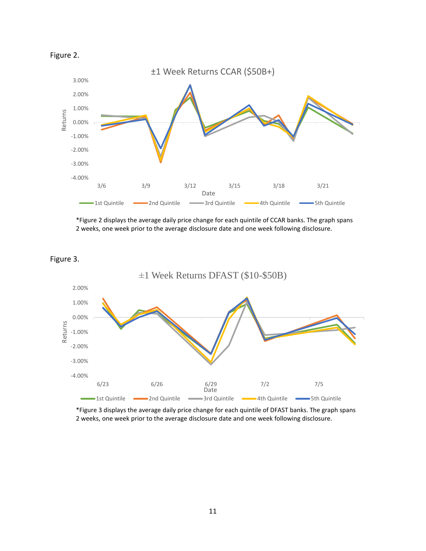

\*Figure 2 displays the average daily price change for each quintile of CCAR banks. The graph spans 2 weeks, one week prior to the average disclosure date and one week following disclosure.



\*Figure 3 displays the average daily price change for each quintile of DFAST banks. The graph spans 2 weeks, one week prior to the average disclosure date and one week following disclosure.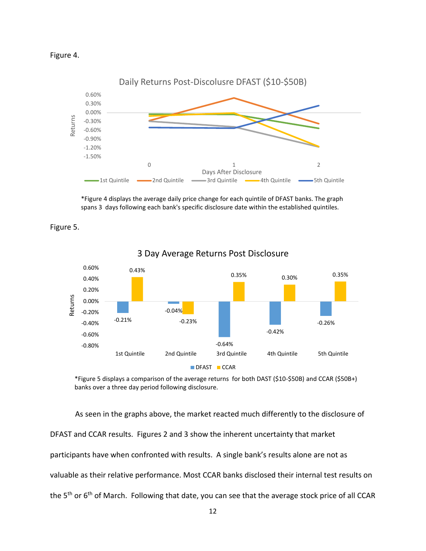



\*Figure 4 displays the average daily price change for each quintile of DFAST banks. The graph spans 3 days following each bank's specific disclosure date within the established quintiles.



Figure 5.

\*Figure 5 displays a comparison of the average returns for both DAST (\$10-\$50B) and CCAR (\$50B+) banks over a three day period following disclosure.

As seen in the graphs above, the market reacted much differently to the disclosure of DFAST and CCAR results. Figures 2 and 3 show the inherent uncertainty that market participants have when confronted with results. A single bank's results alone are not as valuable as their relative performance. Most CCAR banks disclosed their internal test results on the 5<sup>th</sup> or 6<sup>th</sup> of March. Following that date, you can see that the average stock price of all CCAR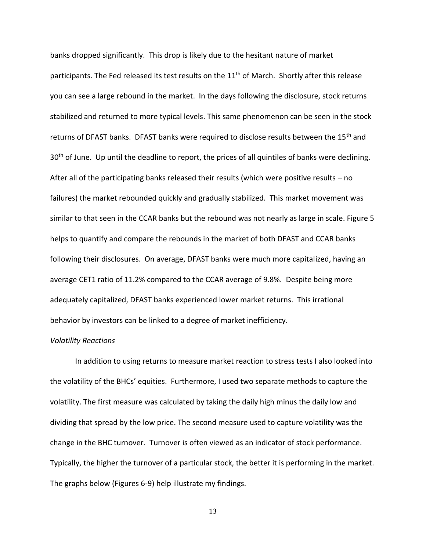banks dropped significantly. This drop is likely due to the hesitant nature of market participants. The Fed released its test results on the 11<sup>th</sup> of March. Shortly after this release you can see a large rebound in the market. In the days following the disclosure, stock returns stabilized and returned to more typical levels. This same phenomenon can be seen in the stock returns of DFAST banks. DFAST banks were required to disclose results between the 15<sup>th</sup> and 30<sup>th</sup> of June. Up until the deadline to report, the prices of all quintiles of banks were declining. After all of the participating banks released their results (which were positive results – no failures) the market rebounded quickly and gradually stabilized. This market movement was similar to that seen in the CCAR banks but the rebound was not nearly as large in scale. Figure 5 helps to quantify and compare the rebounds in the market of both DFAST and CCAR banks following their disclosures. On average, DFAST banks were much more capitalized, having an average CET1 ratio of 11.2% compared to the CCAR average of 9.8%. Despite being more adequately capitalized, DFAST banks experienced lower market returns. This irrational behavior by investors can be linked to a degree of market inefficiency.

#### *Volatility Reactions*

In addition to using returns to measure market reaction to stress tests I also looked into the volatility of the BHCs' equities. Furthermore, I used two separate methods to capture the volatility. The first measure was calculated by taking the daily high minus the daily low and dividing that spread by the low price. The second measure used to capture volatility was the change in the BHC turnover. Turnover is often viewed as an indicator of stock performance. Typically, the higher the turnover of a particular stock, the better it is performing in the market. The graphs below (Figures 6-9) help illustrate my findings.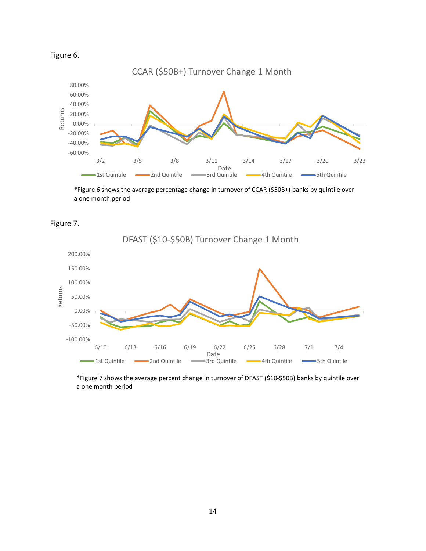



\*Figure 6 shows the average percentage change in turnover of CCAR (\$50B+) banks by quintile over a one month period



DFAST (\$10-\$50B) Turnover Change 1 Month 200.00% 150.00% 100.00% Returns 50.00% 0.00% -50.00% -100.00% 6/10 6/13 6/16 6/19 6/22 6/25 6/28 7/1 7/4 Date<br>ard Quintile 1st Quintile **2nd Quintile** 2nd Quintile 3rd Quintile 4th Quintile 5th Quintile  $\overline{\phantom{0}}$ 

\*Figure 7 shows the average percent change in turnover of DFAST (\$10-\$50B) banks by quintile over a one month period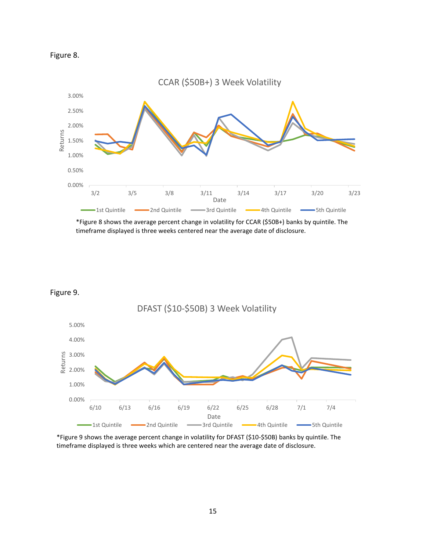



\*Figure 8 shows the average percent change in volatility for CCAR (\$50B+) banks by quintile. The timeframe displayed is three weeks centered near the average date of disclosure.





\*Figure 9 shows the average percent change in volatility for DFAST (\$10-\$50B) banks by quintile. The timeframe displayed is three weeks which are centered near the average date of disclosure.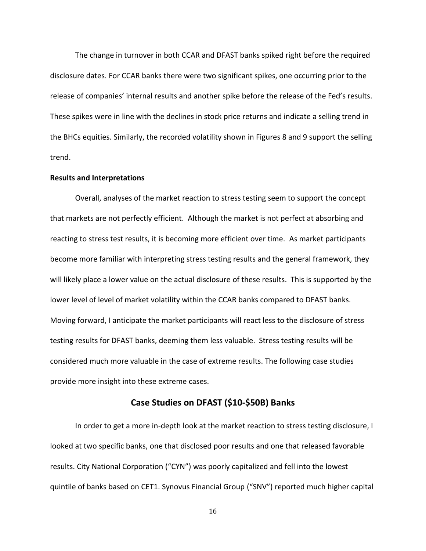The change in turnover in both CCAR and DFAST banks spiked right before the required disclosure dates. For CCAR banks there were two significant spikes, one occurring prior to the release of companies' internal results and another spike before the release of the Fed's results. These spikes were in line with the declines in stock price returns and indicate a selling trend in the BHCs equities. Similarly, the recorded volatility shown in Figures 8 and 9 support the selling trend.

#### **Results and Interpretations**

Overall, analyses of the market reaction to stress testing seem to support the concept that markets are not perfectly efficient. Although the market is not perfect at absorbing and reacting to stress test results, it is becoming more efficient over time. As market participants become more familiar with interpreting stress testing results and the general framework, they will likely place a lower value on the actual disclosure of these results. This is supported by the lower level of level of market volatility within the CCAR banks compared to DFAST banks. Moving forward, I anticipate the market participants will react less to the disclosure of stress testing results for DFAST banks, deeming them less valuable. Stress testing results will be considered much more valuable in the case of extreme results. The following case studies provide more insight into these extreme cases.

## **Case Studies on DFAST (\$10-\$50B) Banks**

In order to get a more in-depth look at the market reaction to stress testing disclosure, I looked at two specific banks, one that disclosed poor results and one that released favorable results. City National Corporation ("CYN") was poorly capitalized and fell into the lowest quintile of banks based on CET1. Synovus Financial Group ("SNV") reported much higher capital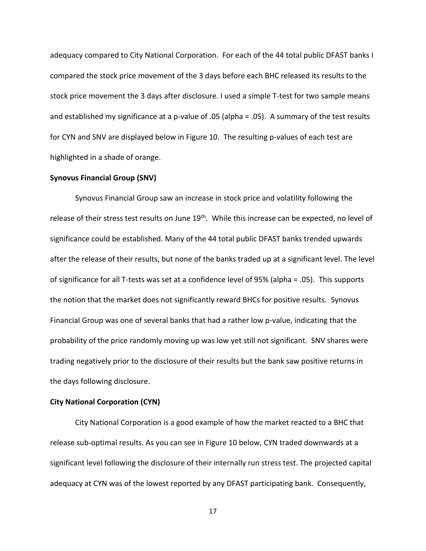adequacy compared to City National Corporation. For each of the 44 total public DFAST banks I compared the stock price movement of the 3 days before each BHC released its results to the stock price movement the 3 days after disclosure. I used a simple T-test for two sample means and established my significance at a p-value of .05 (alpha = .05). A summary of the test results for CYN and SNV are displayed below in Figure 10. The resulting p-values of each test are highlighted in a shade of orange.

#### **Synovus Financial Group (SNV)**

Synovus Financial Group saw an increase in stock price and volatility following the release of their stress test results on June 19<sup>th</sup>. While this increase can be expected, no level of significance could be established. Many of the 44 total public DFAST banks trended upwards after the release of their results, but none of the banks traded up at a significant level. The level of significance for all T-tests was set at a confidence level of 95% (alpha = .05). This supports the notion that the market does not significantly reward BHCs for positive results. Synovus Financial Group was one of several banks that had a rather low p-value, indicating that the probability of the price randomly moving up was low yet still not significant. SNV shares were trading negatively prior to the disclosure of their results but the bank saw positive returns in the days following disclosure.

#### **City National Corporation (CYN)**

City National Corporation is a good example of how the market reacted to a BHC that release sub-optimal results. As you can see in Figure 10 below, CYN traded downwards at a significant level following the disclosure of their internally run stress test. The projected capital adequacy at CYN was of the lowest reported by any DFAST participating bank. Consequently,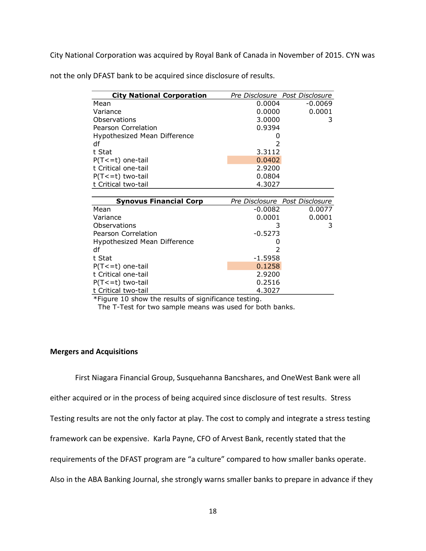City National Corporation was acquired by Royal Bank of Canada in November of 2015. CYN was

| <b>City National Corporation</b> |           | Pre Disclosure Post Disclosure |
|----------------------------------|-----------|--------------------------------|
| Mean                             | 0.0004    | $-0.0069$                      |
| Variance                         | 0.0000    | 0.0001                         |
| Observations                     | 3.0000    | 3                              |
| Pearson Correlation              | 0.9394    |                                |
| Hypothesized Mean Difference     |           |                                |
| df                               |           |                                |
| t Stat                           | 3.3112    |                                |
| $P(T \le t)$ one-tail            | 0.0402    |                                |
| t Critical one-tail              | 2.9200    |                                |
| $P(T \le t)$ two-tail            | 0.0804    |                                |
| t Critical two-tail              | 4.3027    |                                |
|                                  |           |                                |
| <b>Synovus Financial Corp</b>    |           | Pre Disclosure Post Disclosure |
| Mean                             | -0.0082   | 0.0077                         |
| Variance                         | 0.0001    | 0.0001                         |
| Observations                     |           | 3                              |
| Pearson Correlation              | $-0.5273$ |                                |

Hypothesized Mean Difference **1988** 0 df 2 t Stat -1.5958  $P(T \le t)$  one-tail  $0.1258$ t Critical one-tail 2.9200  $P(T \le t)$  two-tail 0.2516 t Critical two-tail 4.3027 \*Figure 10 show the results of significance testing.

not the only DFAST bank to be acquired since disclosure of results.

## **Mergers and Acquisitions**

First Niagara Financial Group, Susquehanna Bancshares, and OneWest Bank were all

either acquired or in the process of being acquired since disclosure of test results. Stress

The T-Test for two sample means was used for both banks.

Testing results are not the only factor at play. The cost to comply and integrate a stress testing

framework can be expensive. Karla Payne, CFO of Arvest Bank, recently stated that the

requirements of the DFAST program are "a culture" compared to how smaller banks operate.

Also in the ABA Banking Journal, she strongly warns smaller banks to prepare in advance if they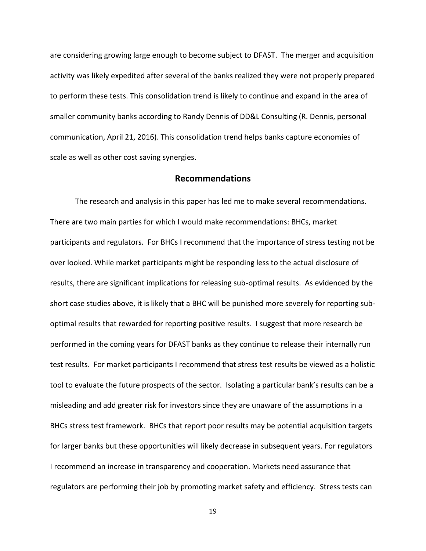are considering growing large enough to become subject to DFAST. The merger and acquisition activity was likely expedited after several of the banks realized they were not properly prepared to perform these tests. This consolidation trend is likely to continue and expand in the area of smaller community banks according to Randy Dennis of DD&L Consulting (R. Dennis, personal communication, April 21, 2016). This consolidation trend helps banks capture economies of scale as well as other cost saving synergies.

### **Recommendations**

The research and analysis in this paper has led me to make several recommendations. There are two main parties for which I would make recommendations: BHCs, market participants and regulators. For BHCs I recommend that the importance of stress testing not be over looked. While market participants might be responding less to the actual disclosure of results, there are significant implications for releasing sub-optimal results. As evidenced by the short case studies above, it is likely that a BHC will be punished more severely for reporting suboptimal results that rewarded for reporting positive results. I suggest that more research be performed in the coming years for DFAST banks as they continue to release their internally run test results. For market participants I recommend that stress test results be viewed as a holistic tool to evaluate the future prospects of the sector. Isolating a particular bank's results can be a misleading and add greater risk for investors since they are unaware of the assumptions in a BHCs stress test framework. BHCs that report poor results may be potential acquisition targets for larger banks but these opportunities will likely decrease in subsequent years. For regulators I recommend an increase in transparency and cooperation. Markets need assurance that regulators are performing their job by promoting market safety and efficiency. Stress tests can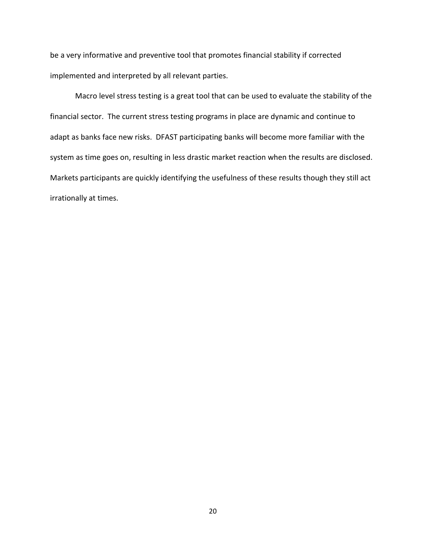be a very informative and preventive tool that promotes financial stability if corrected implemented and interpreted by all relevant parties.

Macro level stress testing is a great tool that can be used to evaluate the stability of the financial sector. The current stress testing programs in place are dynamic and continue to adapt as banks face new risks. DFAST participating banks will become more familiar with the system as time goes on, resulting in less drastic market reaction when the results are disclosed. Markets participants are quickly identifying the usefulness of these results though they still act irrationally at times.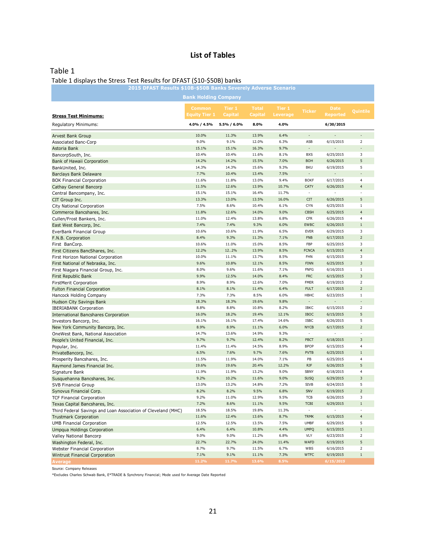## **List of Tables**

### Table 1

#### Table 1 displays the Stress Test Results for DFAST (\$10-\$50B) banks

| 2015 DFAST Results \$10B-\$50B Banks Severely Adverse Scenario |                             |                |                |                 |                           |                        |                               |
|----------------------------------------------------------------|-----------------------------|----------------|----------------|-----------------|---------------------------|------------------------|-------------------------------|
|                                                                | <b>Bank Holding Company</b> |                |                |                 |                           |                        |                               |
|                                                                | <b>Common</b>               | Tier 1         | <b>Total</b>   | Tier 1          |                           | <b>Date</b>            |                               |
| <b>Stress Test Minimums:</b>                                   | Equity Tier 1               | <b>Capital</b> | <b>Capital</b> | <b>Leverage</b> | <b>Ticker</b>             | <b>Reported</b>        | Quintile                      |
|                                                                |                             |                |                |                 |                           |                        |                               |
| <b>Regulatory Minimums:</b>                                    | 4.0% / 4.5%                 | 5.5% / 6.0%    | 8.0%           | 4.0%            |                           | 6/30/2015              |                               |
| Arvest Bank Group                                              | 10.0%                       | 11.3%          | 13.9%          | 6.4%            |                           |                        |                               |
| Associated Banc-Corp                                           | 9.0%                        | 9.1%           | 12.0%          | 6.3%            | ASB                       | 6/15/2015              | $\overline{2}$                |
| Astoria Bank                                                   | 15.1%                       | 15.1%          | 16.3%          | 9.7%            | $\overline{\phantom{m}}$  |                        |                               |
| BancorpSouth, Inc.                                             | 10.4%                       | 10.4%          | 11.6%          | 8.1%            | <b>BXS</b>                | 6/25/2015              | 3                             |
| Bank of Hawaii Corporation                                     | 14.2%                       | 14.2%          | 15.5%          | 7.0%            | <b>BOH</b>                | 6/26/2015              | 5                             |
| BankUnited, Inc.                                               | 14.3%                       | 14.3%          | 15.6%          | 9.3%            | <b>BKU</b>                | 6/19/2015              | 5                             |
| Barclays Bank Delaware                                         | 7.7%                        | 10.4%          | 13.4%          | 7.5%            |                           |                        |                               |
| <b>BOK Financial Corporation</b>                               | 11.6%                       | 11.8%          | 13.0%          | 9.4%            | <b>BOKF</b>               | 6/17/2015              | 4                             |
| Cathay General Bancorp                                         | 11.5%                       | 12.6%          | 13.9%          | 10.7%           | <b>CATY</b>               | 6/26/2015              | 4                             |
| Central Bancompany, Inc.                                       | 15.1%                       | 15.1%          | 16.4%          | 11.7%           |                           |                        |                               |
| CIT Group Inc.                                                 | 13.3%                       | 13.0%          | 13.5%          | 16.0%           | <b>CIT</b>                | 6/26/2015              | 5                             |
| City National Corporation                                      | 7.5%<br>11.8%               | 8.6%           | 10.4%<br>14.0% | 6.1%<br>9.0%    | <b>CYN</b><br><b>CBSH</b> | 6/25/2015              | $\mathbf 1$<br>$\overline{4}$ |
| Commerce Bancshares, Inc.                                      |                             | 12.6%          |                |                 |                           | 6/25/2015<br>6/26/2015 | 4                             |
| Cullen/Frost Bankers, Inc.                                     | 11.0%<br>7.4%               | 12.4%<br>7.4%  | 13.8%<br>9.3%  | 6.8%<br>6.0%    | <b>CFR</b><br><b>EWBC</b> | 6/26/2015              | $1\,$                         |
| East West Bancorp, Inc.<br>EverBank Financial Group            | 10.6%                       | 10.6%          | 11.9%          | 6.5%            | <b>EVER</b>               | 6/29/2015              | 3                             |
| F.N.B. Corporation                                             | 8.4%                        | 9.3%           | 11.3%          | 7.1%            | <b>FNB</b>                | 6/17/2015              | $\overline{2}$                |
| First BanCorp.                                                 | 10.6%                       | 11.0%          | 15.0%          | 8.5%            | FBP                       | 6/25/2015              | 3                             |
| First Citizens BancShares, Inc.                                | 12.2%                       | 122%           | 13.9%          | 8.5%            | <b>FCNCA</b>              | 6/15/2015              | $\overline{\mathbf{4}}$       |
| First Horizon National Corporation                             | 10.0%                       | 11.1%          | 13.7%          | 8.5%            | FHN                       | 6/15/2015              | 3                             |
| First National of Nebraska, Inc.                               | 9.6%                        | 10.8%          | 12.1%          | 8.5%            | <b>FINN</b>               | 6/25/2015              | 3                             |
| First Niagara Financial Group, Inc.                            | 8.0%                        | 9.6%           | 11.6%          | 7.1%            | <b>FNFG</b>               | 6/16/2015              | $1\,$                         |
| First Republic Bank                                            | 9.9%                        | 12.5%          | 14.0%          | 8.4%            | <b>FRC</b>                | 6/15/2015              | 3                             |
| FirstMerit Corporation                                         | 8.9%                        | 8.9%           | 12.6%          | 7.0%            | <b>FMER</b>               | 6/19/2015              | $\overline{2}$                |
| <b>Fulton Financial Corporation</b>                            | 8.1%                        | 8.1%           | 11.4%          | 6.4%            | <b>FULT</b>               | 6/17/2015              | $\overline{2}$                |
| Hancock Holding Company                                        | 7.3%                        | 7.3%           | 8.5%           | 6.0%            | HBHC                      | 6/23/2015              | $\mathbf{1}$                  |
| Hudson City Savings Bank                                       | 18.3%                       | 18.3%          | 19.6%          | 9.8%            |                           |                        |                               |
| <b>IBERIABANK Corporation</b>                                  | 8.8%                        | 8.8%           | 10.8%          | 8.2%            | IBKC                      | 6/15/2015              | $\overline{2}$                |
| <b>International Bancshares Corporation</b>                    | 16.0%                       | 18.2%          | 19.4%          | 12.1%           | <b>IBOC</b>               | 6/15/2015              | 5                             |
| Investors Bancorp, Inc.                                        | 16.1%                       | 16.1%          | 17.4%          | 14.6%           | <b>ISBC</b>               | 6/26/2015              | 5                             |
| New York Community Bancorp, Inc.                               | 8.9%                        | 8.9%           | 11.1%          | 6.0%            | <b>NYCB</b>               | 6/17/2015              | $\overline{2}$                |
| OneWest Bank, National Association                             | 14.7%                       | 13.6%          | 14.9%          | 9.3%            |                           |                        |                               |
| People's United Financial, Inc.                                | 9.7%                        | 9.7%           | 12.4%          | 8.2%            | PBCT                      | 6/18/2015              | 3                             |
| Popular, Inc.                                                  | 11.4%                       | 11.4%          | 14.5%          | 8.9%            | <b>BPOP</b>               | 6/15/2015              | 4                             |
| PrivateBancorp, Inc.                                           | 6.5%                        | 7.6%           | 9.7%           | 7.6%            | <b>PVTB</b>               | 6/25/2015              | $1\,$                         |
| Prosperity Bancshares, Inc.                                    | 11.5%                       | 11.9%          | 14.0%          | 7.1%            | PB                        | 6/25/2015              | 4                             |
| Raymond James Financial Inc.                                   | 19.6%                       | 19.6%          | 20.4%          | 12.2%           | <b>RJF</b>                | 6/26/2015              | 5                             |
| Signature Bank                                                 | 11.9%                       | 11.9%          | 13.2%          | 9.0%            | <b>SBNY</b>               | 6/18/2015              | 4                             |
| Susquehanna Bancshares, Inc.                                   | 9.2%                        | 10.2%          | 11.6%          | 9.0%            | <b>SUSQ</b>               | 6/29/2015              | 3                             |
| <b>SVB Financial Group</b>                                     | 13.0%                       | 13.2%          | 14.8%          | 7.2%            | <b>SIVB</b>               | 6/24/2015              | 5                             |
| Synovus Financial Corp.                                        | 8.2%                        | 8.2%           | 9.5%           | 6.8%            | SNV                       | 6/19/2015              | $\overline{2}$                |
| <b>TCF Financial Corporation</b>                               | 9.2%                        | 11.0%          | 12.9%          | 9.5%            | TCB                       | 6/26/2015              | 3                             |
| Texas Capital Bancshares, Inc.                                 | 7.2%                        | 8.6%           | 11.1%          | 9.5%            | <b>TCBI</b>               | 6/29/2015              | $\,1$                         |
| Third Federal Savings and Loan Association of Cleveland (MHC)  | 18.5%                       | 18.5%          | 19.8%          | 11.3%           |                           |                        |                               |
| <b>Trustmark Corporation</b>                                   | 11.6%                       | 12.4%          | 13.6%          | 8.7%            | <b>TRMK</b>               | 6/15/2015              | $\overline{4}$                |
| <b>UMB Financial Corporation</b>                               | 12.5%                       | 12.5%          | 13.5%          | 7.5%            | <b>UMBF</b>               | 6/29/2015              | 5                             |
| Umpqua Holdings Corporation                                    | 6.4%                        | 6.4%           | 10.8%          | 4.4%            | <b>UMPQ</b>               | 6/15/2015              | $1\,$                         |
| Valley National Bancorp                                        | 9.0%                        | 9.0%           | 11.2%          | 6.8%            | VLY                       | 6/23/2015              | $\overline{2}$                |
| Washington Federal, Inc.                                       | 22.7%                       | 22.7%          | 24.0%          | 11.4%           | WAFD                      | 6/19/2015              | 5                             |
| Webster Financial Corporation                                  | 8.7%<br>7.1%                | 9.7%<br>9.1%   | 11.5%          | 6.7%<br>7.3%    | WBS<br><b>WTFC</b>        | 6/16/2015<br>6/19/2015 | 2<br>$\,1$                    |
| Wintrust Financial Corporation<br><b>Average</b>               | 11.2%                       | 11.7%          | 11.1%<br>13.6% | 8.5%            |                           | 6/15/2015              |                               |
|                                                                |                             |                |                |                 |                           |                        |                               |

Source: Company Releases

\*Excludes Charles Schwab Bank, E\*TRADE & Synchrony Financial; Mode used for Average Date Reported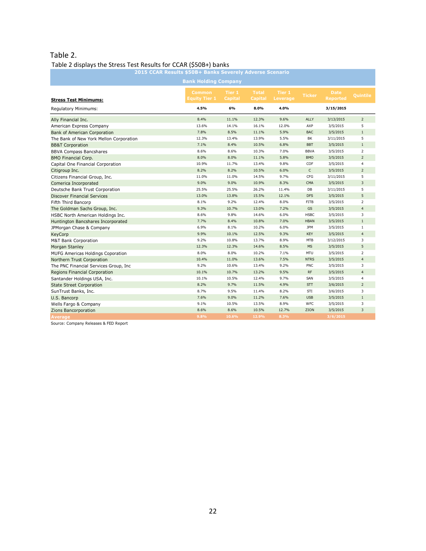# Table 2.

## Table 2 displays the Stress Test Results for CCAR (\$50B+) banks

| 2015 CCAR Results \$50B+ Banks Severely Adverse Scenario |                                |                          |                                |                    |               |                                |                 |
|----------------------------------------------------------|--------------------------------|--------------------------|--------------------------------|--------------------|---------------|--------------------------------|-----------------|
| <b>Bank Holding Company</b>                              |                                |                          |                                |                    |               |                                |                 |
| <b>Stress Test Minimums:</b>                             | Common<br><b>Equity Tier 1</b> | Tier 1<br><b>Capital</b> | <b>Total</b><br><b>Capital</b> | Tier 1<br>Leverage | <b>Ticker</b> | <b>Date</b><br><b>Reported</b> | <b>Quintile</b> |
| Regulatory Minimums:                                     | 4.5%                           | 6%                       | 8.0%                           | 4.0%               |               | 3/15/2015                      |                 |
| Ally Financial Inc.                                      | 8.4%                           | 11.1%                    | 12.3%                          | 9.6%               | ALLY          | 3/13/2015                      | $\overline{2}$  |
| American Express Company                                 | 13.6%                          | 14.1%                    | 16.1%                          | 12.0%              | AXP           | 3/5/2015                       | 5               |
| Bank of American Corporation                             | 7.8%                           | 8.5%                     | 11.1%                          | 5.9%               | <b>BAC</b>    | 3/5/2015                       | $\mathbf{1}$    |
| The Bank of New York Mellon Corporation                  | 12.3%                          | 13.4%                    | 13.9%                          | 5.5%               | BK            | 3/11/2015                      | 5               |
| <b>BB&amp;T Corporation</b>                              | 7.1%                           | 8.4%                     | 10.5%                          | 6.8%               | <b>BBT</b>    | 3/5/2015                       | $\mathbf{1}$    |
| <b>BBVA Compass Bancshares</b>                           | 8.6%                           | 8.6%                     | 10.3%                          | 7.0%               | <b>BBVA</b>   | 3/5/2015                       | $\overline{2}$  |
| <b>BMO Financial Corp.</b>                               | 8.0%                           | 8.0%                     | 11.1%                          | 5.8%               | <b>BMO</b>    | 3/5/2015                       | $\overline{2}$  |
| Capital One Financial Corporation                        | 10.9%                          | 11.7%                    | 13.4%                          | 9.8%               | COF           | 3/5/2015                       | 4               |
| Citigroup Inc.                                           | 8.2%                           | 8.2%                     | 10.5%                          | 6.0%               | $\mathsf{C}$  | 3/5/2015                       | $\overline{2}$  |
| Citizens Financial Group, Inc.                           | 11.0%                          | 11.0%                    | 14.5%                          | 9.7%               | CFG           | 3/11/2015                      | 5               |
| Comerica Incorporated                                    | 9.0%                           | 9.0%                     | 10.9%                          | 8.3%               | CMA           | 3/5/2015                       | 3               |
| Deutsche Bank Trust Corporation                          | 25.5%                          | 25.5%                    | 26.2%                          | 11.4%              | DB            | 3/11/2015                      | 5               |
| <b>Discover Financial Services</b>                       | 13.0%                          | 13.8%                    | 15.5%                          | 12.1%              | <b>DFS</b>    | 3/5/2015                       | 5               |
| Fifth Third Bancorp                                      | 8.1%                           | 9.2%                     | 12.4%                          | 8.0%               | <b>FITB</b>   | 3/5/2015                       | $\overline{2}$  |
| The Goldman Sachs Group, Inc.                            | 9.3%                           | 10.7%                    | 13.0%                          | 7.2%               | GS            | 3/5/2015                       | $\overline{4}$  |
| HSBC North American Holdings Inc.                        | 8.6%                           | 9.8%                     | 14.6%                          | 6.0%               | <b>HSBC</b>   | 3/5/2015                       | 3               |
| Huntington Bancshares Incorporated                       | 7.7%                           | 8.4%                     | 10.8%                          | 7.0%               | <b>HBAN</b>   | 3/5/2015                       | $\mathbf{1}$    |
| JPMorgan Chase & Company                                 | 6.9%                           | 8.1%                     | 10.2%                          | 6.0%               | JPM           | 3/5/2015                       | $1\,$           |
| KeyCorp                                                  | 9.9%                           | 10.1%                    | 12.5%                          | 9.3%               | KEY           | 3/5/2015                       | $\overline{4}$  |
| <b>M&amp;T Bank Corporation</b>                          | 9.2%                           | 10.8%                    | 13.7%                          | 8.9%               | <b>MTB</b>    | 3/12/2015                      | 3               |
| Morgan Stanley                                           | 12.3%                          | 12.3%                    | 14.6%                          | 8.5%               | <b>MS</b>     | 3/5/2015                       | 5               |
| <b>MUFG Americas Holdings Coporation</b>                 | 8.0%                           | 8.0%                     | 10.2%                          | 7.1%               | <b>MTU</b>    | 3/5/2015                       | $\overline{2}$  |
| Northern Trust Corporation                               | 10.4%                          | 11.0%                    | 13.6%                          | 7.5%               | <b>NTRS</b>   | 3/5/2015                       | $\overline{4}$  |
| The PNC Financial Services Group, Inc.                   | 9.2%                           | 10.6%                    | 13.4%                          | 9.2%               | PNC           | 3/5/2015                       | 3               |
| Regions Financial Corporation                            | 10.1%                          | 10.7%                    | 13.2%                          | 9.5%               | <b>RF</b>     | 3/5/2015                       | $\overline{4}$  |
| Santander Holdings USA, Inc.                             | 10.1%                          | 10.5%                    | 12.4%                          | 9.7%               | SAN           | 3/5/2015                       | $\overline{4}$  |
| <b>State Street Corporation</b>                          | 8.2%                           | 9.7%                     | 11.5%                          | 4.9%               | <b>STT</b>    | 3/6/2015                       | $\overline{2}$  |
| SunTrust Banks, Inc.                                     | 8.7%                           | 9.5%                     | 11.4%                          | 8.2%               | STI           | 3/6/2015                       | 3               |
| U.S. Bancorp                                             | 7.6%                           | 9.0%                     | 11.2%                          | 7.6%               | <b>USB</b>    | 3/5/2015                       | $\mathbf{1}$    |
| Wells Fargo & Company                                    | 9.1%                           | 10.5%                    | 13.5%                          | 8.9%               | WFC           | 3/5/2015                       | 3               |
| Zions Bancorporation                                     | 8.6%                           | 8.6%                     | 10.5%                          | 12.7%              | ZION          | 3/5/2015                       | $\overline{3}$  |
| Average                                                  | 9.8%                           | 10.6%                    | 12.9%                          | 8.3%               |               | 3/6/2015                       |                 |

Source: Company Releases & FED Report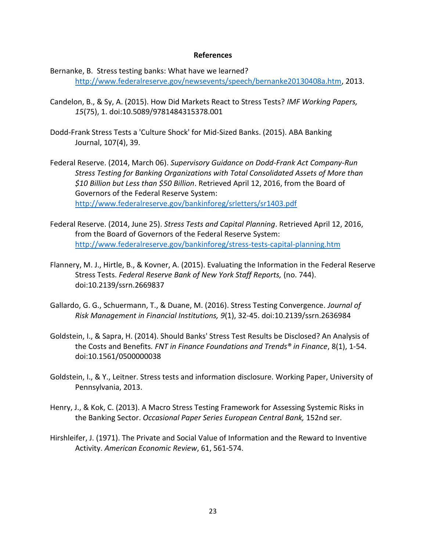#### **References**

Bernanke, B. Stress testing banks: What have we learned? [http://www.federalreserve.gov/newsevents/speech/bernanke20130408a.htm,](http://www.federalreserve.gov/newsevents/speech/bernanke20130408a.htm) 2013.

- Candelon, B., & Sy, A. (2015). How Did Markets React to Stress Tests? *IMF Working Papers, 15*(75), 1. doi:10.5089/9781484315378.001
- Dodd-Frank Stress Tests a 'Culture Shock' for Mid-Sized Banks. (2015). ABA Banking Journal, 107(4), 39.
- Federal Reserve. (2014, March 06). *Supervisory Guidance on Dodd-Frank Act Company-Run Stress Testing for Banking Organizations with Total Consolidated Assets of More than \$10 Billion but Less than \$50 Billion*. Retrieved April 12, 2016, from the Board of Governors of the Federal Reserve System: <http://www.federalreserve.gov/bankinforeg/srletters/sr1403.pdf>
- Federal Reserve. (2014, June 25). *Stress Tests and Capital Planning*. Retrieved April 12, 2016, from the Board of Governors of the Federal Reserve System: <http://www.federalreserve.gov/bankinforeg/stress-tests-capital-planning.htm>
- Flannery, M. J., Hirtle, B., & Kovner, A. (2015). Evaluating the Information in the Federal Reserve Stress Tests. *Federal Reserve Bank of New York Staff Reports,* (no. 744). doi:10.2139/ssrn.2669837
- Gallardo, G. G., Schuermann, T., & Duane, M. (2016). Stress Testing Convergence. *Journal of Risk Management in Financial Institutions, 9*(1), 32-45. doi:10.2139/ssrn.2636984
- Goldstein, I., & Sapra, H. (2014). Should Banks' Stress Test Results be Disclosed? An Analysis of the Costs and Benefits*. FNT in Finance Foundations and Trends® in Finance*, 8(1), 1-54. doi:10.1561/0500000038
- Goldstein, I., & Y., Leitner. Stress tests and information disclosure. Working Paper, University of Pennsylvania, 2013.
- Henry, J., & Kok, C. (2013). A Macro Stress Testing Framework for Assessing Systemic Risks in the Banking Sector. *Occasional Paper Series European Central Bank,* 152nd ser.
- Hirshleifer, J. (1971). The Private and Social Value of Information and the Reward to Inventive Activity. *American Economic Review*, 61, 561-574.